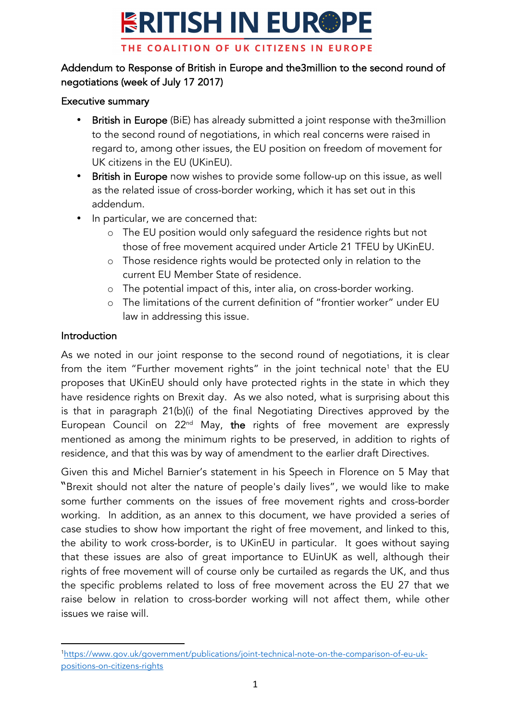## **ERITISH IN EUR®PE** THE COALITION OF UK CITIZENS IN EUROPE

## Addendum to Response of British in Europe and the3million to the second round of negotiations (week of July 17 2017)

### Executive summary

- British in Europe (BiE) has already submitted a joint response with the3million to the second round of negotiations, in which real concerns were raised in regard to, among other issues, the EU position on freedom of movement for UK citizens in the EU (UKinEU).
- British in Europe now wishes to provide some follow-up on this issue, as well as the related issue of cross-border working, which it has set out in this addendum.
- In particular, we are concerned that:
	- o The EU position would only safeguard the residence rights but not those of free movement acquired under Article 21 TFEU by UKinEU.
	- o Those residence rights would be protected only in relation to the current EU Member State of residence.
	- o The potential impact of this, inter alia, on cross-border working.
	- o The limitations of the current definition of "frontier worker" under EU law in addressing this issue.

### Introduction

As we noted in our joint response to the second round of negotiations, it is clear from the item "Further movement rights" in the joint technical note<sup>1</sup> that the EU proposes that UKinEU should only have protected rights in the state in which they have residence rights on Brexit day. As we also noted, what is surprising about this is that in paragraph 21(b)(i) of the final Negotiating Directives approved by the European Council on  $22<sup>nd</sup>$  May, the rights of free movement are expressly mentioned as among the minimum rights to be preserved, in addition to rights of residence, and that this was by way of amendment to the earlier draft Directives.

Given this and Michel Barnier's statement in his Speech in Florence on 5 May that "Brexit should not alter the nature of people's daily lives", we would like to make some further comments on the issues of free movement rights and cross-border working. In addition, as an annex to this document, we have provided a series of case studies to show how important the right of free movement, and linked to this, the ability to work cross-border, is to UKinEU in particular. It goes without saying that these issues are also of great importance to EUinUK as well, although their rights of free movement will of course only be curtailed as regards the UK, and thus the specific problems related to loss of free movement across the EU 27 that we raise below in relation to cross-border working will not affect them, while other issues we raise will.

 1 https://www.gov.uk/government/publications/joint-technical-note-on-the-comparison-of-eu-ukpositions-on-citizens-rights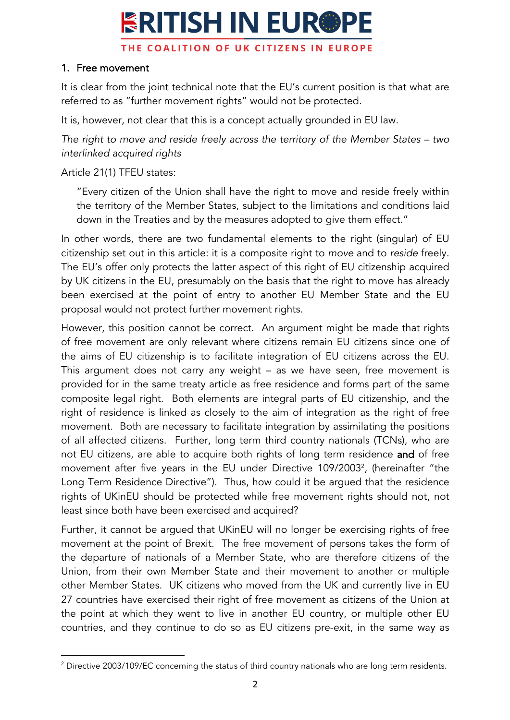## **ERITISH IN EUR®PE** THE COALITION OF UK CITIZENS IN EUROPE

### 1. Free movement

It is clear from the joint technical note that the EU's current position is that what are referred to as "further movement rights" would not be protected.

It is, however, not clear that this is a concept actually grounded in EU law.

*The right to move and reside freely across the territory of the Member States – two interlinked acquired rights*

Article 21(1) TFEU states:

"Every citizen of the Union shall have the right to move and reside freely within the territory of the Member States, subject to the limitations and conditions laid down in the Treaties and by the measures adopted to give them effect."

In other words, there are two fundamental elements to the right (singular) of EU citizenship set out in this article: it is a composite right to *move* and to *reside* freely. The EU's offer only protects the latter aspect of this right of EU citizenship acquired by UK citizens in the EU, presumably on the basis that the right to move has already been exercised at the point of entry to another EU Member State and the EU proposal would not protect further movement rights.

However, this position cannot be correct. An argument might be made that rights of free movement are only relevant where citizens remain EU citizens since one of the aims of EU citizenship is to facilitate integration of EU citizens across the EU. This argument does not carry any weight – as we have seen, free movement is provided for in the same treaty article as free residence and forms part of the same composite legal right. Both elements are integral parts of EU citizenship, and the right of residence is linked as closely to the aim of integration as the right of free movement. Both are necessary to facilitate integration by assimilating the positions of all affected citizens. Further, long term third country nationals (TCNs), who are not EU citizens, are able to acquire both rights of long term residence and of free movement after five years in the EU under Directive 109/20032 , (hereinafter "the Long Term Residence Directive"). Thus, how could it be argued that the residence rights of UKinEU should be protected while free movement rights should not, not least since both have been exercised and acquired?

Further, it cannot be argued that UKinEU will no longer be exercising rights of free movement at the point of Brexit. The free movement of persons takes the form of the departure of nationals of a Member State, who are therefore citizens of the Union, from their own Member State and their movement to another or multiple other Member States. UK citizens who moved from the UK and currently live in EU 27 countries have exercised their right of free movement as citizens of the Union at the point at which they went to live in another EU country, or multiple other EU countries, and they continue to do so as EU citizens pre-exit, in the same way as

 <sup>2</sup> Directive 2003/109/EC concerning the status of third country nationals who are long term residents.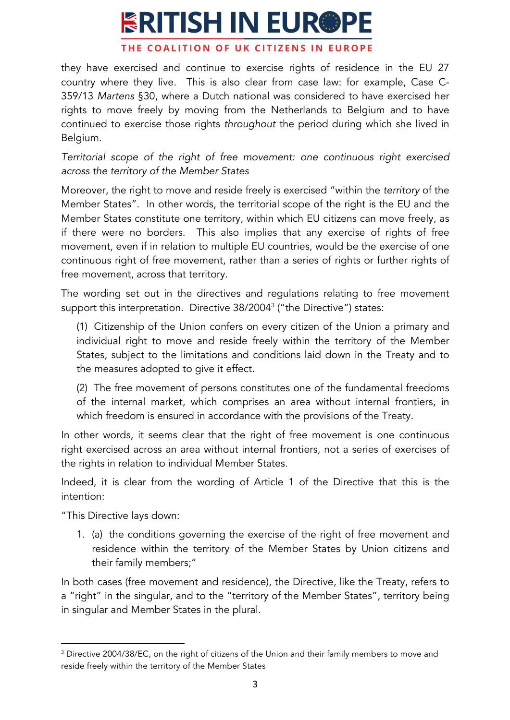#### THE COALITION OF UK CITIZENS IN EUROPE

they have exercised and continue to exercise rights of residence in the EU 27 country where they live. This is also clear from case law: for example, Case C-359/13 *Martens* §30, where a Dutch national was considered to have exercised her rights to move freely by moving from the Netherlands to Belgium and to have continued to exercise those rights *throughout* the period during which she lived in Belgium.

*Territorial scope of the right of free movement: one continuous right exercised across the territory of the Member States*

Moreover, the right to move and reside freely is exercised "within the *territory* of the Member States". In other words, the territorial scope of the right is the EU and the Member States constitute one territory, within which EU citizens can move freely, as if there were no borders. This also implies that any exercise of rights of free movement, even if in relation to multiple EU countries, would be the exercise of one continuous right of free movement, rather than a series of rights or further rights of free movement, across that territory.

The wording set out in the directives and regulations relating to free movement support this interpretation. Directive 38/2004<sup>3</sup> ("the Directive") states:

(1) Citizenship of the Union confers on every citizen of the Union a primary and individual right to move and reside freely within the territory of the Member States, subject to the limitations and conditions laid down in the Treaty and to the measures adopted to give it effect.

(2) The free movement of persons constitutes one of the fundamental freedoms of the internal market, which comprises an area without internal frontiers, in which freedom is ensured in accordance with the provisions of the Treaty.

In other words, it seems clear that the right of free movement is one continuous right exercised across an area without internal frontiers, not a series of exercises of the rights in relation to individual Member States.

Indeed, it is clear from the wording of Article 1 of the Directive that this is the intention:

"This Directive lays down:

 

1. (a) the conditions governing the exercise of the right of free movement and residence within the territory of the Member States by Union citizens and their family members;"

In both cases (free movement and residence), the Directive, like the Treaty, refers to a "right" in the singular, and to the "territory of the Member States", territory being in singular and Member States in the plural.

<sup>&</sup>lt;sup>3</sup> Directive 2004/38/EC, on the right of citizens of the Union and their family members to move and reside freely within the territory of the Member States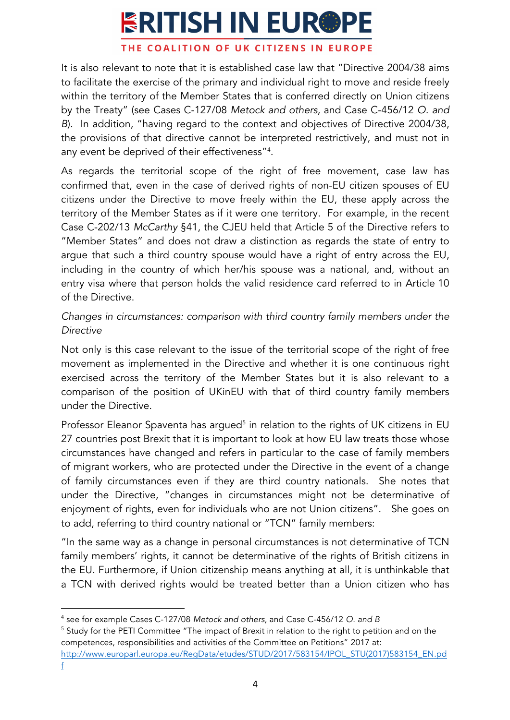#### THE COALITION OF UK CITIZENS IN EUROPE

It is also relevant to note that it is established case law that "Directive 2004/38 aims to facilitate the exercise of the primary and individual right to move and reside freely within the territory of the Member States that is conferred directly on Union citizens by the Treaty" (see Cases C-127/08 *Metock and others*, and Case C-456/12 *O. and B*). In addition, "having regard to the context and objectives of Directive 2004/38, the provisions of that directive cannot be interpreted restrictively, and must not in any event be deprived of their effectiveness"4 .

As regards the territorial scope of the right of free movement, case law has confirmed that, even in the case of derived rights of non-EU citizen spouses of EU citizens under the Directive to move freely within the EU, these apply across the territory of the Member States as if it were one territory. For example, in the recent Case C-202/13 *McCarthy* §41, the CJEU held that Article 5 of the Directive refers to "Member States" and does not draw a distinction as regards the state of entry to argue that such a third country spouse would have a right of entry across the EU, including in the country of which her/his spouse was a national, and, without an entry visa where that person holds the valid residence card referred to in Article 10 of the Directive.

*Changes in circumstances: comparison with third country family members under the Directive*

Not only is this case relevant to the issue of the territorial scope of the right of free movement as implemented in the Directive and whether it is one continuous right exercised across the territory of the Member States but it is also relevant to a comparison of the position of UKinEU with that of third country family members under the Directive.

Professor Eleanor Spaventa has argued<sup>5</sup> in relation to the rights of UK citizens in EU 27 countries post Brexit that it is important to look at how EU law treats those whose circumstances have changed and refers in particular to the case of family members of migrant workers, who are protected under the Directive in the event of a change of family circumstances even if they are third country nationals. She notes that under the Directive, "changes in circumstances might not be determinative of enjoyment of rights, even for individuals who are not Union citizens". She goes on to add, referring to third country national or "TCN" family members:

"In the same way as a change in personal circumstances is not determinative of TCN family members' rights, it cannot be determinative of the rights of British citizens in the EU. Furthermore, if Union citizenship means anything at all, it is unthinkable that a TCN with derived rights would be treated better than a Union citizen who has

 

<sup>4</sup> see for example Cases C-127/08 *Metock and others*, and Case C-456/12 *O. and B*

<sup>&</sup>lt;sup>5</sup> Study for the PETI Committee "The impact of Brexit in relation to the right to petition and on the competences, responsibilities and activities of the Committee on Petitions" 2017 at: http://www.europarl.europa.eu/RegData/etudes/STUD/2017/583154/IPOL\_STU(2017)583154\_EN.pd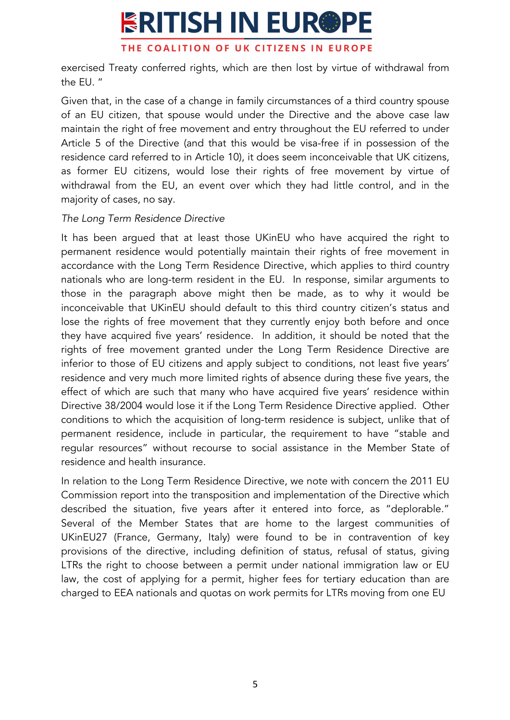## **ERITISH IN EUR®PE** THE COALITION OF UK CITIZENS IN EUROPE

exercised Treaty conferred rights, which are then lost by virtue of withdrawal from the EU. "

Given that, in the case of a change in family circumstances of a third country spouse of an EU citizen, that spouse would under the Directive and the above case law maintain the right of free movement and entry throughout the EU referred to under Article 5 of the Directive (and that this would be visa-free if in possession of the residence card referred to in Article 10), it does seem inconceivable that UK citizens, as former EU citizens, would lose their rights of free movement by virtue of withdrawal from the EU, an event over which they had little control, and in the majority of cases, no say.

### *The Long Term Residence Directive*

It has been argued that at least those UKinEU who have acquired the right to permanent residence would potentially maintain their rights of free movement in accordance with the Long Term Residence Directive, which applies to third country nationals who are long-term resident in the EU. In response, similar arguments to those in the paragraph above might then be made, as to why it would be inconceivable that UKinEU should default to this third country citizen's status and lose the rights of free movement that they currently enjoy both before and once they have acquired five years' residence. In addition, it should be noted that the rights of free movement granted under the Long Term Residence Directive are inferior to those of EU citizens and apply subject to conditions, not least five years' residence and very much more limited rights of absence during these five years, the effect of which are such that many who have acquired five years' residence within Directive 38/2004 would lose it if the Long Term Residence Directive applied. Other conditions to which the acquisition of long-term residence is subject, unlike that of permanent residence, include in particular, the requirement to have "stable and regular resources" without recourse to social assistance in the Member State of residence and health insurance.

In relation to the Long Term Residence Directive, we note with concern the 2011 EU Commission report into the transposition and implementation of the Directive which described the situation, five years after it entered into force, as "deplorable." Several of the Member States that are home to the largest communities of UKinEU27 (France, Germany, Italy) were found to be in contravention of key provisions of the directive, including definition of status, refusal of status, giving LTRs the right to choose between a permit under national immigration law or EU law, the cost of applying for a permit, higher fees for tertiary education than are charged to EEA nationals and quotas on work permits for LTRs moving from one EU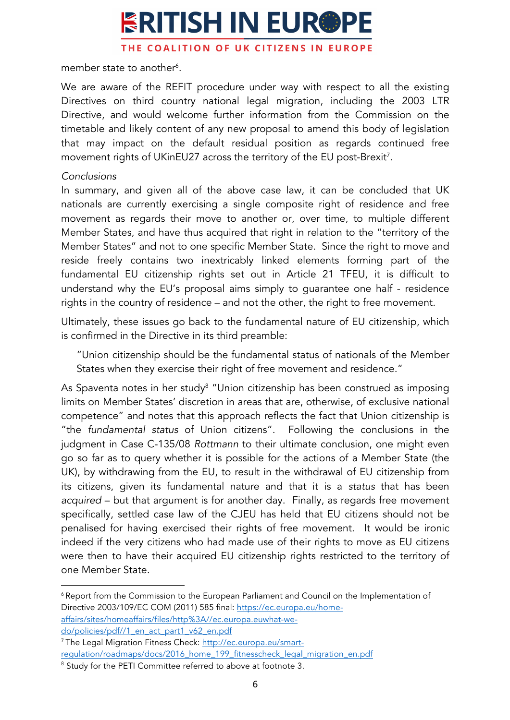THE COALITION OF UK CITIZENS IN EUROPE

member state to another $\delta$ .

We are aware of the REFIT procedure under way with respect to all the existing Directives on third country national legal migration, including the 2003 LTR Directive, and would welcome further information from the Commission on the timetable and likely content of any new proposal to amend this body of legislation that may impact on the default residual position as regards continued free movement rights of UKinEU27 across the territory of the EU post-Brexit<sup>7</sup>.

## *Conclusions*

In summary, and given all of the above case law, it can be concluded that UK nationals are currently exercising a single composite right of residence and free movement as regards their move to another or, over time, to multiple different Member States, and have thus acquired that right in relation to the "territory of the Member States" and not to one specific Member State. Since the right to move and reside freely contains two inextricably linked elements forming part of the fundamental EU citizenship rights set out in Article 21 TFEU, it is difficult to understand why the EU's proposal aims simply to guarantee one half - residence rights in the country of residence – and not the other, the right to free movement.

Ultimately, these issues go back to the fundamental nature of EU citizenship, which is confirmed in the Directive in its third preamble:

"Union citizenship should be the fundamental status of nationals of the Member States when they exercise their right of free movement and residence."

As Spaventa notes in her study<sup>8</sup> "Union citizenship has been construed as imposing limits on Member States' discretion in areas that are, otherwise, of exclusive national competence" and notes that this approach reflects the fact that Union citizenship is "the *fundamental status* of Union citizens". Following the conclusions in the judgment in Case C-135/08 *Rottmann* to their ultimate conclusion, one might even go so far as to query whether it is possible for the actions of a Member State (the UK), by withdrawing from the EU, to result in the withdrawal of EU citizenship from its citizens, given its fundamental nature and that it is a *status* that has been *acquired* – but that argument is for another day. Finally, as regards free movement specifically, settled case law of the CJEU has held that EU citizens should not be penalised for having exercised their rights of free movement. It would be ironic indeed if the very citizens who had made use of their rights to move as EU citizens were then to have their acquired EU citizenship rights restricted to the territory of one Member State.

<sup>6</sup> Report from the Commission to the European Parliament and Council on the Implementation of Directive 2003/109/EC COM (2011) 585 final: https://ec.europa.eu/homeaffairs/sites/homeaffairs/files/http%3A//ec.europa.euwhat-we-

do/policies/pdf//1\_en\_act\_part1\_v62\_en.pdf

 

<sup>7</sup> The Legal Migration Fitness Check: http://ec.europa.eu/smartregulation/roadmaps/docs/2016\_home\_199\_fitnesscheck\_legal\_migration\_en.pdf

<sup>&</sup>lt;sup>8</sup> Study for the PETI Committee referred to above at footnote 3.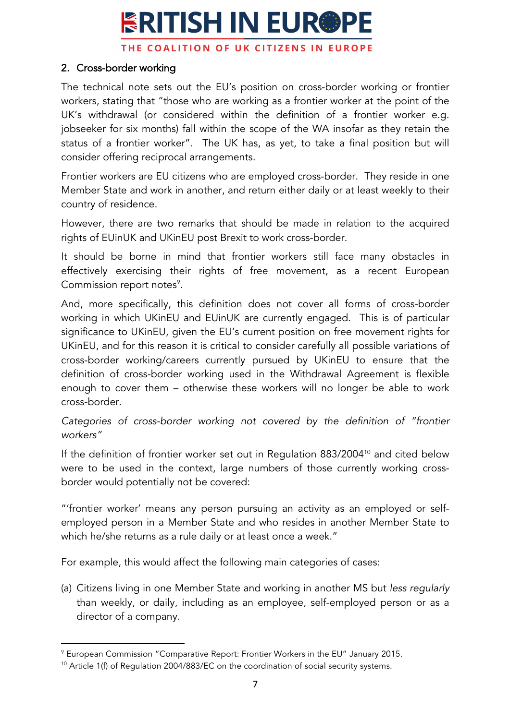THE COALITION OF UK CITIZENS IN EUROPE

### 2. Cross-border working

The technical note sets out the EU's position on cross-border working or frontier workers, stating that "those who are working as a frontier worker at the point of the UK's withdrawal (or considered within the definition of a frontier worker e.g. jobseeker for six months) fall within the scope of the WA insofar as they retain the status of a frontier worker". The UK has, as yet, to take a final position but will consider offering reciprocal arrangements.

Frontier workers are EU citizens who are employed cross-border. They reside in one Member State and work in another, and return either daily or at least weekly to their country of residence.

However, there are two remarks that should be made in relation to the acquired rights of EUinUK and UKinEU post Brexit to work cross-border.

It should be borne in mind that frontier workers still face many obstacles in effectively exercising their rights of free movement, as a recent European Commission report notes<sup>9</sup>.

And, more specifically, this definition does not cover all forms of cross-border working in which UKinEU and EUinUK are currently engaged. This is of particular significance to UKinEU, given the EU's current position on free movement rights for UKinEU, and for this reason it is critical to consider carefully all possible variations of cross-border working/careers currently pursued by UKinEU to ensure that the definition of cross-border working used in the Withdrawal Agreement is flexible enough to cover them – otherwise these workers will no longer be able to work cross-border.

*Categories of cross-border working not covered by the definition of "frontier workers"*

If the definition of frontier worker set out in Regulation 883/2004<sup>10</sup> and cited below were to be used in the context, large numbers of those currently working crossborder would potentially not be covered:

"'frontier worker' means any person pursuing an activity as an employed or selfemployed person in a Member State and who resides in another Member State to which he/she returns as a rule daily or at least once a week."

For example, this would affect the following main categories of cases:

(a) Citizens living in one Member State and working in another MS but *less regularly* than weekly, or daily, including as an employee, self-employed person or as a director of a company.

 

<sup>9</sup> European Commission "Comparative Report: Frontier Workers in the EU" January 2015.

<sup>&</sup>lt;sup>10</sup> Article 1(f) of Regulation 2004/883/EC on the coordination of social security systems.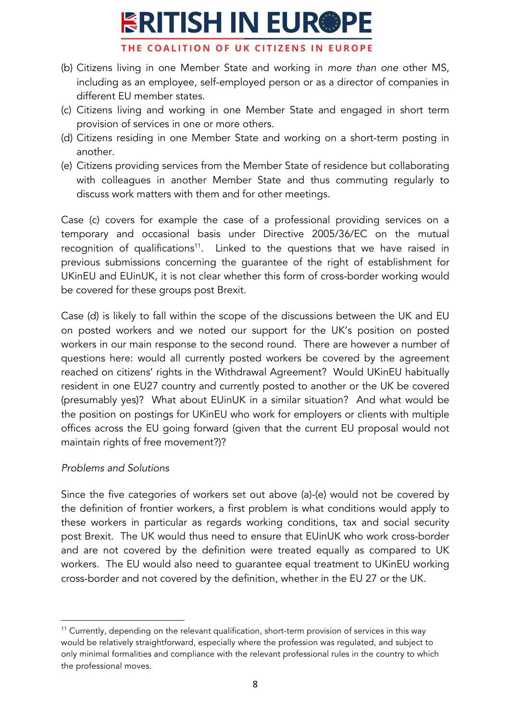THE COALITION OF UK CITIZENS IN EUROPE

- (b) Citizens living in one Member State and working in *more than one* other MS, including as an employee, self-employed person or as a director of companies in different EU member states.
- (c) Citizens living and working in one Member State and engaged in short term provision of services in one or more others.
- (d) Citizens residing in one Member State and working on a short-term posting in another.
- (e) Citizens providing services from the Member State of residence but collaborating with colleagues in another Member State and thus commuting regularly to discuss work matters with them and for other meetings.

Case (c) covers for example the case of a professional providing services on a temporary and occasional basis under Directive 2005/36/EC on the mutual recognition of qualifications<sup>11</sup>. Linked to the questions that we have raised in previous submissions concerning the guarantee of the right of establishment for UKinEU and EUinUK, it is not clear whether this form of cross-border working would be covered for these groups post Brexit.

Case (d) is likely to fall within the scope of the discussions between the UK and EU on posted workers and we noted our support for the UK's position on posted workers in our main response to the second round. There are however a number of questions here: would all currently posted workers be covered by the agreement reached on citizens' rights in the Withdrawal Agreement? Would UKinEU habitually resident in one EU27 country and currently posted to another or the UK be covered (presumably yes)? What about EUinUK in a similar situation? And what would be the position on postings for UKinEU who work for employers or clients with multiple offices across the EU going forward (given that the current EU proposal would not maintain rights of free movement?)?

### *Problems and Solutions*

 

Since the five categories of workers set out above (a)-(e) would not be covered by the definition of frontier workers, a first problem is what conditions would apply to these workers in particular as regards working conditions, tax and social security post Brexit. The UK would thus need to ensure that EUinUK who work cross-border and are not covered by the definition were treated equally as compared to UK workers. The EU would also need to guarantee equal treatment to UKinEU working cross-border and not covered by the definition, whether in the EU 27 or the UK.

<sup>&</sup>lt;sup>11</sup> Currently, depending on the relevant qualification, short-term provision of services in this way would be relatively straightforward, especially where the profession was regulated, and subject to only minimal formalities and compliance with the relevant professional rules in the country to which the professional moves.